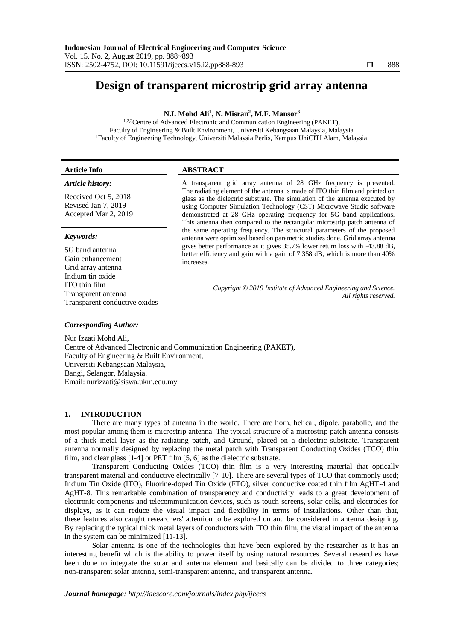# **Design of transparent microstrip grid array antenna**

## **N.I. Mohd Ali<sup>1</sup> , N. Misran<sup>2</sup> , M.F. Mansor<sup>3</sup>**

<sup>1,2,3</sup>Centre of Advanced Electronic and Communication Engineering (PAKET). Faculty of Engineering & Built Environment, Universiti Kebangsaan Malaysia, Malaysia <sup>1</sup>Faculty of Engineering Technology, Universiti Malaysia Perlis, Kampus UniCITI Alam, Malaysia

#### **Article Info ABSTRACT**

#### *Article history:*

Received Oct 5, 2018 Revised Jan 7, 2019 Accepted Mar 2, 2019

#### *Keywords:*

5G band antenna Gain enhancement Grid array antenna Indium tin oxide ITO thin film Transparent antenna Transparent conductive oxides

A transparent grid array antenna of 28 GHz frequency is presented. The radiating element of the antenna is made of ITO thin film and printed on glass as the dielectric substrate. The simulation of the antenna executed by using Computer Simulation Technology (CST) Microwave Studio software demonstrated at 28 GHz operating frequency for 5G band applications. This antenna then compared to the rectangular microstrip patch antenna of the same operating frequency. The structural parameters of the proposed antenna were optimized based on parametric studies done. Grid array antenna gives better performance as it gives 35.7% lower return loss with -43.88 dB, better efficiency and gain with a gain of 7.358 dB, which is more than 40% increases.

> *Copyright © 2019 Institute of Advanced Engineering and Science. All rights reserved.*

### *Corresponding Author:*

Nur Izzati Mohd Ali, Centre of Advanced Electronic and Communication Engineering (PAKET), Faculty of Engineering & Built Environment, Universiti Kebangsaan Malaysia, Bangi, Selangor, Malaysia. Email: nurizzati@siswa.ukm.edu.my

#### **1. INTRODUCTION**

There are many types of antenna in the world. There are horn, helical, dipole, parabolic, and the most popular among them is microstrip antenna. The typical structure of a microstrip patch antenna consists of a thick metal layer as the radiating patch, and Ground, placed on a dielectric substrate. Transparent antenna normally designed by replacing the metal patch with Transparent Conducting Oxides (TCO) thin film, and clear glass [1-4] or PET film [5, 6] as the dielectric substrate.

Transparent Conducting Oxides (TCO) thin film is a very interesting material that optically transparent material and conductive electrically [7-10]. There are several types of TCO that commonly used; Indium Tin Oxide (ITO), Fluorine-doped Tin Oxide (FTO), silver conductive coated thin film AgHT-4 and AgHT-8. This remarkable combination of transparency and conductivity leads to a great development of electronic components and telecommunication devices, such as touch screens, solar cells, and electrodes for displays, as it can reduce the visual impact and flexibility in terms of installations. Other than that, these features also caught researchers' attention to be explored on and be considered in antenna designing. By replacing the typical thick metal layers of conductors with ITO thin film, the visual impact of the antenna in the system can be minimized [11-13].

Solar antenna is one of the technologies that have been explored by the researcher as it has an interesting benefit which is the ability to power itself by using natural resources. Several researches have been done to integrate the solar and antenna element and basically can be divided to three categories; non-transparent solar antenna, semi-transparent antenna, and transparent antenna.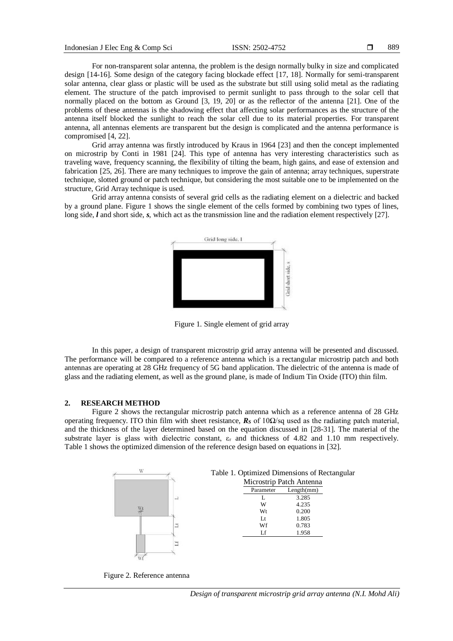For non-transparent solar antenna, the problem is the design normally bulky in size and complicated design [14-16]. Some design of the category facing blockade effect [17, 18]. Normally for semi-transparent solar antenna, clear glass or plastic will be used as the substrate but still using solid metal as the radiating element. The structure of the patch improvised to permit sunlight to pass through to the solar cell that normally placed on the bottom as Ground [3, 19, 20] or as the reflector of the antenna [21]. One of the problems of these antennas is the shadowing effect that affecting solar performances as the structure of the antenna itself blocked the sunlight to reach the solar cell due to its material properties. For transparent antenna, all antennas elements are transparent but the design is complicated and the antenna performance is compromised [4, 22].

Grid array antenna was firstly introduced by Kraus in 1964 [23] and then the concept implemented on microstrip by Conti in 1981 [24]. This type of antenna has very interesting characteristics such as traveling wave, frequency scanning, the flexibility of tilting the beam, high gains, and ease of extension and fabrication [25, 26]. There are many techniques to improve the gain of antenna; array techniques, superstrate technique, slotted ground or patch technique, but considering the most suitable one to be implemented on the structure, Grid Array technique is used.

Grid array antenna consists of several grid cells as the radiating element on a dielectric and backed by a ground plane. [Figure 1](#page-1-0) shows the single element of the cells formed by combining two types of lines, long side, *l* and short side, *s*, which act as the transmission line and the radiation element respectively [27].



Figure 1. Single element of grid array

<span id="page-1-0"></span>In this paper, a design of transparent microstrip grid array antenna will be presented and discussed. The performance will be compared to a reference antenna which is a rectangular microstrip patch and both antennas are operating at 28 GHz frequency of 5G band application. The dielectric of the antenna is made of glass and the radiating element, as well as the ground plane, is made of Indium Tin Oxide (ITO) thin film.

#### **2. RESEARCH METHOD**

[Figure 2](#page-1-1) shows the rectangular microstrip patch antenna which as a reference antenna of 28 GHz operating frequency. ITO thin film with sheet resistance,  $\mathbf{R}_S$  of 10 $\Omega$ /sq used as the radiating patch material, and the thickness of the layer determined based on the equation discussed in [28-31]. The material of the substrate layer is glass with dielectric constant,  $\varepsilon_r$  and thickness of 4.82 and 1.10 mm respectively. [Table 1](#page-1-2) shows the optimized dimension of the reference design based on equations in [32].

<span id="page-1-2"></span>

<span id="page-1-1"></span>Figure 2. Reference antenna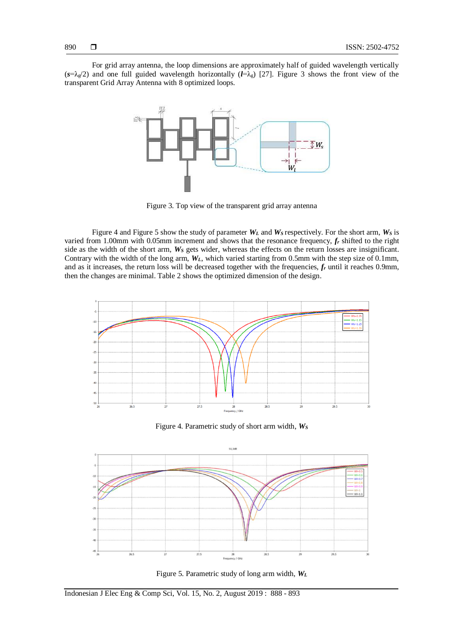For grid array antenna, the loop dimensions are approximately half of guided wavelength vertically  $(s=\lambda_g/2)$  and one full guided wavelength horizontally  $(l=\lambda_g)$  [27]. [Figure 3](#page-2-0) shows the front view of the transparent Grid Array Antenna with 8 optimized loops.



Figure 3. Top view of the transparent grid array antenna

<span id="page-2-0"></span>[Figure 4](#page-2-1) an[d Figure 5](#page-2-2) show the study of parameter *W<sup>L</sup>* and *W<sup>S</sup>* respectively. For the short arm, *W<sup>S</sup>* is varied from 1.00mm with 0.05mm increment and shows that the resonance frequency, *f<sup>r</sup>* shifted to the right side as the width of the short arm, *W<sup>S</sup>* gets wider, whereas the effects on the return losses are insignificant. Contrary with the width of the long arm, *WL*, which varied starting from 0.5mm with the step size of 0.1mm, and as it increases, the return loss will be decreased together with the frequencies, *f<sup>r</sup>* until it reaches 0.9mm, then the changes are minimal. [Table 2](#page-3-0) shows the optimized dimension of the design.



Figure 4. Parametric study of short arm width, *W<sup>S</sup>*

<span id="page-2-1"></span>

<span id="page-2-2"></span>Figure 5. Parametric study of long arm width, *WL*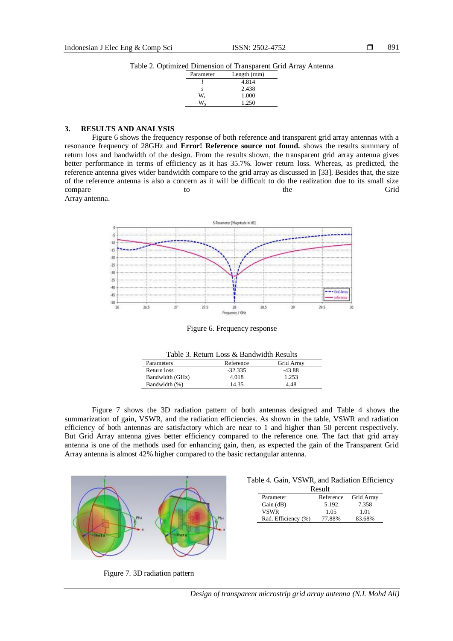Table 2. Optimized Dimension of Transparent Grid Array Antenna

| Parameter | Length (mm) |  |
|-----------|-------------|--|
|           | 4.814       |  |
| S         | 2.438       |  |
| Wī.       | 1.000       |  |
|           | 1.250       |  |
|           |             |  |

## <span id="page-3-0"></span>**3. RESULTS AND ANALYSIS**

[Figure 6](#page-3-1) shows the frequency response of both reference and transparent grid array antennas with a resonance frequency of 28GHz and **Error! Reference source not found.** shows the results summary of return loss and bandwidth of the design. From the results shown, the transparent grid array antenna gives better performance in terms of efficiency as it has 35.7%. lower return loss. Whereas, as predicted, the reference antenna gives wider bandwidth compare to the grid array as discussed in [33]. Besides that, the size of the reference antenna is also a concern as it will be difficult to do the realization due to its small size compare to the Grid

Array antenna.



Figure 6. Frequency response

| Grid Array<br>Reference<br>Parameters |  |
|---------------------------------------|--|
| $-43.88$<br>$-32.335$<br>Return loss  |  |
| 1.253<br>Bandwidth (GHz)<br>4.018     |  |
| Bandwidth (%)<br>14.35<br>448         |  |

<span id="page-3-1"></span>[Figure 7](#page-3-2) shows the 3D radiation pattern of both antennas designed and [Table 4](#page-3-3) shows the summarization of gain, VSWR, and the radiation efficiencies. As shown in the table, VSWR and radiation efficiency of both antennas are satisfactory which are near to 1 and higher than 50 percent respectively. But Grid Array antenna gives better efficiency compared to the reference one. The fact that grid array antenna is one of the methods used for enhancing gain, then, as expected the gain of the Transparent Grid Array antenna is almost 42% higher compared to the basic rectangular antenna.



<span id="page-3-3"></span>Table 4. Gain, VSWR, and Radiation Efficiency Result

| .                   |           |            |  |  |  |
|---------------------|-----------|------------|--|--|--|
| Parameter           | Reference | Grid Array |  |  |  |
| Gain (dB)           | 5.192     | 7.358      |  |  |  |
| <b>VSWR</b>         | 1.05      | 1.01       |  |  |  |
| Rad. Efficiency (%) | 77.88%    | 83.68%     |  |  |  |

<span id="page-3-2"></span>Figure 7. 3D radiation pattern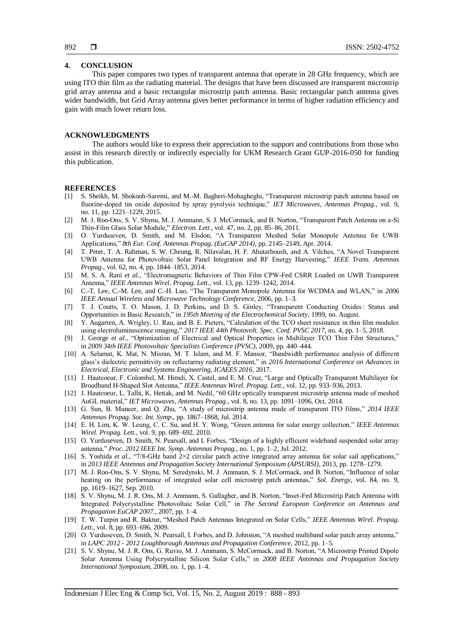#### **4. CONCLUSION**

This paper compares two types of transparent antenna that operate in 28 GHz frequency, which are using ITO thin film as the radiating material. The designs that have been discussed are transparent microstrip grid array antenna and a basic rectangular microstrip patch antenna. Basic rectangular patch antenna gives wider bandwidth, but Grid Array antenna gives better performance in terms of higher radiation efficiency and gain with much lower return loss.

#### **ACKNOWLEDGMENTS**

The authors would like to express their appreciation to the support and contributions from those who assist in this research directly or indirectly especially for UKM Research Grant GUP-2016-050 for funding this publication.

#### **REFERENCES**

- [1] S. Sheikh, M. Shokooh-Saremi, and M.-M. Bagheri-Mohagheghi, "Transparent microstrip patch antenna based on fluorine-doped tin oxide deposited by spray pyrolysis technique," *IET Microwaves, Antennas Propag.*, vol. 9, no. 11, pp. 1221–1229, 2015.
- [2] M. J. Roo-Ons, S. V. Shynu, M. J. Ammann, S. J. McCormack, and B. Norton, "Transparent Patch Antenna on a-Si Thin-Film Glass Solar Module," *Electron. Lett.*, vol. 47, no. 2, pp. 85–86, 2011.
- [3] O. Yurduseven, D. Smith, and M. Elsdon, "A Transparent Meshed Solar Monopole Antenna for UWB Applications," *8th Eur. Conf. Antennas Propag. (EuCAP 2014)*, pp. 2145–2149, Apr. 2014.
- [4] T. Peter, T. A. Rahman, S. W. Cheung, R. Nilavalan, H. F. Abutarboush, and A. Vilches, "A Novel Transparent UWB Antenna for Photovoltaic Solar Panel Integration and RF Energy Harvesting," *IEEE Trans. Antennas Propag.*, vol. 62, no. 4, pp. 1844–1853, 2014.
- [5] M. S. A. Rani *et al.*, "Electromagnetic Behaviors of Thin Film CPW-Fed CSRR Loaded on UWB Transparent Antenna," *IEEE Antennas Wirel. Propag. Lett.*, vol. 13, pp. 1239–1242, 2014.
- [6] C.-T. Lee, C.-M. Lee, and C.-H. Luo, "The Transparent Monopole Antenna for WCDMA and WLAN," in *2006 IEEE Annual Wireless and Microwave Technology Conference*, 2006, pp. 1–3.
- [7] T. J. Coutts, T. O. Mason, J. D. Perkins, and D. S. Ginley, "Transparent Conducting Oxides : Status and Opportunities in Basic Research," in *195th Meeting of the Electrochemical Society*, 1999, no. August.
- [8] Y. Augarten, A. Wrigley, U. Rau, and B. E. Pieters, "Calculation of the TCO sheet resistance in thin film modules using electroluminescence imaging," *2017 IEEE 44th Photovolt. Spec. Conf. PVSC 2017*, no. 4, pp. 1–5, 2018.
- [9] J. George *et al.*, "Optimization of Electrical and Optical Properties in Multilayer TCO Thin Film Structures," in *2009 34th IEEE Photovoltaic Specialists Conference (PVSC)*, 2009, pp. 440–444.
- [10] A. Selamat, K. Mat, N. Misran, M. T. Islam, and M. F. Mansor, "Bandwidth performance analysis of different glass's dielectric permittivity on reflectarray radiating element," in *2016 International Conference on Advances in Electrical, Electronic and Systems Engineering, ICAEES 2016*, 2017.
- [11] J. Hautcoeur, F. Colombel, M. Himdi, X. Castel, and E. M. Cruz, "Large and Optically Transparent Multilayer for Broadband H-Shaped Slot Antenna," *IEEE Antennas Wirel. Propag. Lett.*, vol. 12, pp. 933–936, 2013.
- [12] J. Hautcoeur, L. Talbi, K. Hettak, and M. Nedil, "60 GHz optically transparent microstrip antenna made of meshed AuGL material," *IET Microwaves, Antennas Propag.*, vol. 8, no. 13, pp. 1091–1096, Oct. 2014.
- [13] G. Sun, B. Muneer, and Q. Zhu, "A study of microstrip antenna made of transparent ITO films," *2014 IEEE Antennas Propag. Soc. Int. Symp.*, pp. 1867–1868, Jul. 2014.
- [14] E. H. Lim, K. W. Leung, C. C. Su, and H. Y. Wong, "Green antenna for solar energy collection," *IEEE Antennas Wirel. Propag. Lett.*, vol. 9, pp. 689–692, 2010.
- [15] O. Yurduseven, D. Smith, N. Pearsall, and I. Forbes, "Design of a highly efficient wideband suspended solar array antenna," *Proc. 2012 IEEE Int. Symp. Antennas Propag.*, no. 1, pp. 1–2, Jul. 2012.
- [16] S. Yoshida *et al.*, "7/8-GHz band 2×2 circular patch active integrated array antenna for solar sail applications," in *2013 IEEE Antennas and Propagation Society International Symposium (APSURSI)*, 2013, pp. 1278–1279.
- [17] M. J. Roo-Ons, S. V. Shynu, M. Seredynski, M. J. Ammann, S. J. McCormack, and B. Norton, "Influence of solar heating on the performance of integrated solar cell microstrip patch antennas," *Sol. Energy*, vol. 84, no. 9, pp. 1619–1627, Sep. 2010.
- [18] S. V. Shynu, M. J. R. Ons, M. J. Ammann, S. Gallagher, and B. Norton, "Inset-Fed Microstrip Patch Antenna with Integrated Polycrystalline Photovoltaic Solar Cell," in *The Second European Conference on Antennas and Propagation EuCAP 2007.*, 2007, pp. 1–4.
- [19] T. W. Turpin and R. Baktur, "Meshed Patch Antennas Integrated on Solar Cells," *IEEE Antennas Wirel. Propag. Lett.*, vol. 8, pp. 693–696, 2009.
- [20] O. Yurduseven, D. Smith, N. Pearsall, I. Forbes, and D. Johnston, "A meshed multiband solar patch array antenna," in *LAPC 2012 - 2012 Loughborough Antennas and Propagation Conference*, 2012, pp. 1–5.
- [21] S. V. Shynu, M. J. R. Ons, G. Ruvio, M. J. Ammann, S. McCormack, and B. Norton, "A Microstrip Printed Dipole Solar Antenna Using Polycrystalline Silicon Solar Cells," in *2008 IEEE Antennas and Propagation Society International Symposium*, 2008, no. 1, pp. 1–4.